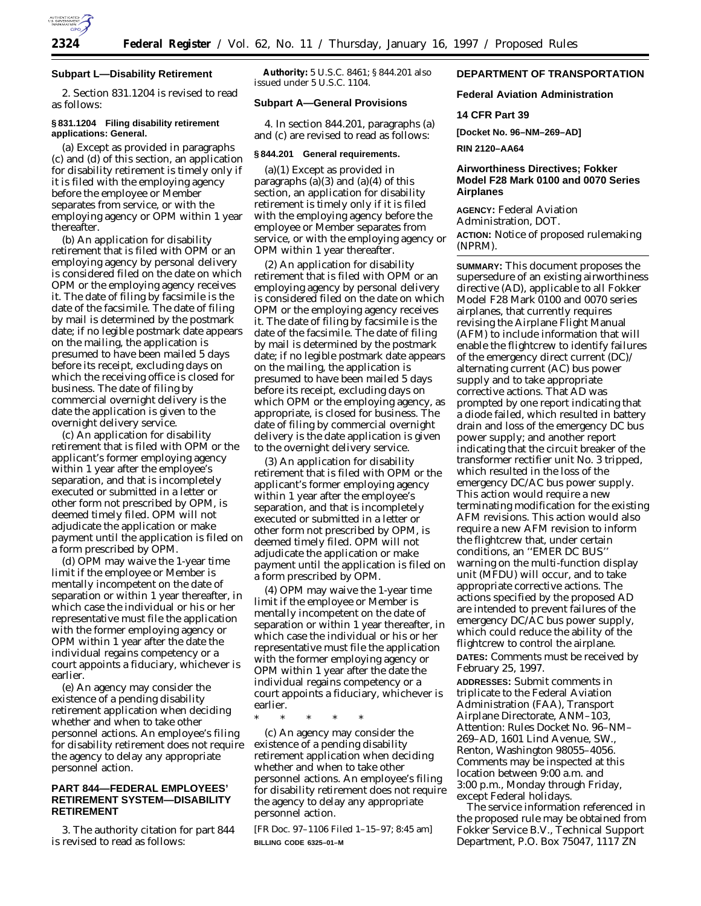

## **Subpart L—Disability Retirement**

2. Section 831.1204 is revised to read as follows:

#### **§ 831.1204 Filing disability retirement applications: General.**

(a) Except as provided in paragraphs (c) and (d) of this section, an application for disability retirement is timely only if it is filed with the employing agency before the employee or Member separates from service, or with the employing agency or OPM within 1 year thereafter.

(b) An application for disability retirement that is filed with OPM or an employing agency by personal delivery is considered filed on the date on which OPM or the employing agency receives it. The date of filing by facsimile is the date of the facsimile. The date of filing by mail is determined by the postmark date; if no legible postmark date appears on the mailing, the application is presumed to have been mailed 5 days before its receipt, excluding days on which the receiving office is closed for business. The date of filing by commercial overnight delivery is the date the application is given to the overnight delivery service.

(c) An application for disability retirement that is filed with OPM or the applicant's former employing agency within 1 year after the employee's separation, and that is incompletely executed or submitted in a letter or other form not prescribed by OPM, is deemed timely filed. OPM will not adjudicate the application or make payment until the application is filed on a form prescribed by OPM.

(d) OPM may waive the 1-year time limit if the employee or Member is mentally incompetent on the date of separation or within 1 year thereafter, in which case the individual or his or her representative must file the application with the former employing agency or OPM within 1 year after the date the individual regains competency or a court appoints a fiduciary, whichever is earlier.

(e) An agency may consider the existence of a pending disability retirement application when deciding whether and when to take other personnel actions. An employee's filing for disability retirement does not require the agency to delay any appropriate personnel action.

## **PART 844—FEDERAL EMPLOYEES' RETIREMENT SYSTEM—DISABILITY RETIREMENT**

3. The authority citation for part 844 is revised to read as follows:

**Authority:** 5 U.S.C. 8461; § 844.201 also issued under 5 U.S.C. 1104.

# **Subpart A—General Provisions**

4. In section 844.201, paragraphs (a) and (c) are revised to read as follows:

#### **§ 844.201 General requirements.**

(a)(1) Except as provided in paragraphs  $(a)(3)$  and  $(a)(4)$  of this section, an application for disability retirement is timely only if it is filed with the employing agency before the employee or Member separates from service, or with the employing agency or OPM within 1 year thereafter.

(2) An application for disability retirement that is filed with OPM or an employing agency by personal delivery is considered filed on the date on which OPM or the employing agency receives it. The date of filing by facsimile is the date of the facsimile. The date of filing by mail is determined by the postmark date; if no legible postmark date appears on the mailing, the application is presumed to have been mailed 5 days before its receipt, excluding days on which OPM or the employing agency, as appropriate, is closed for business. The date of filing by commercial overnight delivery is the date application is given to the overnight delivery service.

(3) An application for disability retirement that is filed with OPM or the applicant's former employing agency within 1 year after the employee's separation, and that is incompletely executed or submitted in a letter or other form not prescribed by OPM, is deemed timely filed. OPM will not adjudicate the application or make payment until the application is filed on a form prescribed by OPM.

(4) OPM may waive the 1-year time limit if the employee or Member is mentally incompetent on the date of separation or within 1 year thereafter, in which case the individual or his or her representative must file the application with the former employing agency or OPM within 1 year after the date the individual regains competency or a court appoints a fiduciary, whichever is earlier.

\* \* \* \* \*

(c) An agency may consider the existence of a pending disability retirement application when deciding whether and when to take other personnel actions. An employee's filing for disability retirement does not require the agency to delay any appropriate personnel action.

[FR Doc. 97–1106 Filed 1–15–97; 8:45 am] **BILLING CODE 6325–01–M**

# **DEPARTMENT OF TRANSPORTATION**

**Federal Aviation Administration**

### **14 CFR Part 39**

**[Docket No. 96–NM–269–AD]**

**RIN 2120–AA64**

# **Airworthiness Directives; Fokker Model F28 Mark 0100 and 0070 Series Airplanes**

**AGENCY:** Federal Aviation Administration, DOT. **ACTION:** Notice of proposed rulemaking (NPRM).

**SUMMARY:** This document proposes the supersedure of an existing airworthiness directive (AD), applicable to all Fokker Model F28 Mark 0100 and 0070 series airplanes, that currently requires revising the Airplane Flight Manual (AFM) to include information that will enable the flightcrew to identify failures of the emergency direct current (DC)/ alternating current (AC) bus power supply and to take appropriate corrective actions. That AD was prompted by one report indicating that a diode failed, which resulted in battery drain and loss of the emergency DC bus power supply; and another report indicating that the circuit breaker of the transformer rectifier unit No. 3 tripped, which resulted in the loss of the emergency DC/AC bus power supply. This action would require a new terminating modification for the existing AFM revisions. This action would also require a new AFM revision to inform the flightcrew that, under certain conditions, an ''EMER DC BUS'' warning on the multi-function display unit (MFDU) will occur, and to take appropriate corrective actions. The actions specified by the proposed AD are intended to prevent failures of the emergency DC/AC bus power supply, which could reduce the ability of the flightcrew to control the airplane. **DATES:** Comments must be received by February 25, 1997.

**ADDRESSES:** Submit comments in triplicate to the Federal Aviation Administration (FAA), Transport Airplane Directorate, ANM–103, Attention: Rules Docket No. 96–NM– 269–AD, 1601 Lind Avenue, SW., Renton, Washington 98055–4056. Comments may be inspected at this location between 9:00 a.m. and 3:00 p.m., Monday through Friday, except Federal holidays.

The service information referenced in the proposed rule may be obtained from Fokker Service B.V., Technical Support Department, P.O. Box 75047, 1117 ZN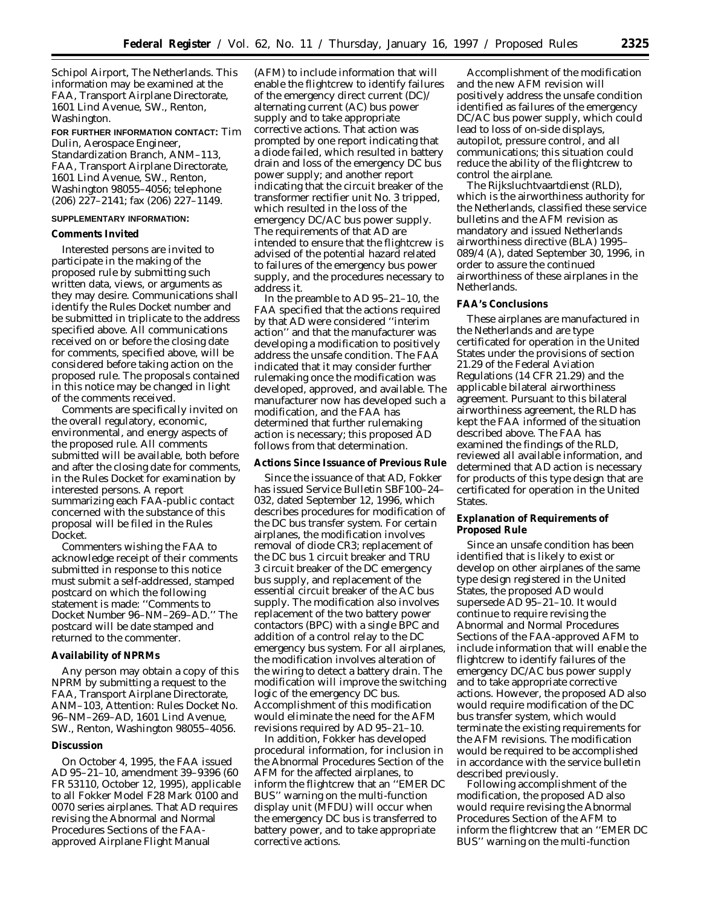Schipol Airport, The Netherlands. This information may be examined at the FAA, Transport Airplane Directorate, 1601 Lind Avenue, SW., Renton, Washington.

## **FOR FURTHER INFORMATION CONTACT:** Tim Dulin, Aerospace Engineer,

Standardization Branch, ANM–113, FAA, Transport Airplane Directorate, 1601 Lind Avenue, SW., Renton, Washington 98055–4056; telephone (206) 227–2141; fax (206) 227–1149.

### **SUPPLEMENTARY INFORMATION:**

#### **Comments Invited**

Interested persons are invited to participate in the making of the proposed rule by submitting such written data, views, or arguments as they may desire. Communications shall identify the Rules Docket number and be submitted in triplicate to the address specified above. All communications received on or before the closing date for comments, specified above, will be considered before taking action on the proposed rule. The proposals contained in this notice may be changed in light of the comments received.

Comments are specifically invited on the overall regulatory, economic, environmental, and energy aspects of the proposed rule. All comments submitted will be available, both before and after the closing date for comments, in the Rules Docket for examination by interested persons. A report summarizing each FAA-public contact concerned with the substance of this proposal will be filed in the Rules Docket.

Commenters wishing the FAA to acknowledge receipt of their comments submitted in response to this notice must submit a self-addressed, stamped postcard on which the following statement is made: ''Comments to Docket Number 96–NM–269–AD.'' The postcard will be date stamped and returned to the commenter.

#### **Availability of NPRMs**

Any person may obtain a copy of this NPRM by submitting a request to the FAA, Transport Airplane Directorate, ANM–103, Attention: Rules Docket No. 96–NM–269–AD, 1601 Lind Avenue, SW., Renton, Washington 98055–4056.

#### **Discussion**

On October 4, 1995, the FAA issued AD 95–21–10, amendment 39–9396 (60 FR 53110, October 12, 1995), applicable to all Fokker Model F28 Mark 0100 and 0070 series airplanes. That AD requires revising the Abnormal and Normal Procedures Sections of the FAAapproved Airplane Flight Manual

(AFM) to include information that will enable the flightcrew to identify failures of the emergency direct current (DC)/ alternating current (AC) bus power supply and to take appropriate corrective actions. That action was prompted by one report indicating that a diode failed, which resulted in battery drain and loss of the emergency DC bus power supply; and another report indicating that the circuit breaker of the transformer rectifier unit No. 3 tripped, which resulted in the loss of the emergency DC/AC bus power supply. The requirements of that AD are intended to ensure that the flightcrew is advised of the potential hazard related to failures of the emergency bus power supply, and the procedures necessary to address it.

In the preamble to AD 95–21–10, the FAA specified that the actions required by that AD were considered ''interim action'' and that the manufacturer was developing a modification to positively address the unsafe condition. The FAA indicated that it may consider further rulemaking once the modification was developed, approved, and available. The manufacturer now has developed such a modification, and the FAA has determined that further rulemaking action is necessary; this proposed AD follows from that determination.

### **Actions Since Issuance of Previous Rule**

Since the issuance of that AD, Fokker has issued Service Bulletin SBF100–24– 032, dated September 12, 1996, which describes procedures for modification of the DC bus transfer system. For certain airplanes, the modification involves removal of diode CR3; replacement of the DC bus 1 circuit breaker and TRU 3 circuit breaker of the DC emergency bus supply, and replacement of the essential circuit breaker of the AC bus supply. The modification also involves replacement of the two battery power contactors (BPC) with a single BPC and addition of a control relay to the DC emergency bus system. For all airplanes, the modification involves alteration of the wiring to detect a battery drain. The modification will improve the switching logic of the emergency DC bus. Accomplishment of this modification would eliminate the need for the AFM revisions required by AD 95–21–10.

In addition, Fokker has developed procedural information, for inclusion in the Abnormal Procedures Section of the AFM for the affected airplanes, to inform the flightcrew that an ''EMER DC BUS'' warning on the multi-function display unit (MFDU) will occur when the emergency DC bus is transferred to battery power, and to take appropriate corrective actions.

Accomplishment of the modification and the new AFM revision will positively address the unsafe condition identified as failures of the emergency DC/AC bus power supply, which could lead to loss of on-side displays, autopilot, pressure control, and all communications; this situation could reduce the ability of the flightcrew to control the airplane.

The Rijksluchtvaartdienst (RLD), which is the airworthiness authority for the Netherlands, classified these service bulletins and the AFM revision as mandatory and issued Netherlands airworthiness directive (BLA) 1995– 089/4 (A), dated September 30, 1996, in order to assure the continued airworthiness of these airplanes in the Netherlands.

### **FAA's Conclusions**

These airplanes are manufactured in the Netherlands and are type certificated for operation in the United States under the provisions of section 21.29 of the Federal Aviation Regulations (14 CFR 21.29) and the applicable bilateral airworthiness agreement. Pursuant to this bilateral airworthiness agreement, the RLD has kept the FAA informed of the situation described above. The FAA has examined the findings of the RLD, reviewed all available information, and determined that AD action is necessary for products of this type design that are certificated for operation in the United States.

### **Explanation of Requirements of Proposed Rule**

Since an unsafe condition has been identified that is likely to exist or develop on other airplanes of the same type design registered in the United States, the proposed AD would supersede AD 95–21–10. It would continue to require revising the Abnormal and Normal Procedures Sections of the FAA-approved AFM to include information that will enable the flightcrew to identify failures of the emergency DC/AC bus power supply and to take appropriate corrective actions. However, the proposed AD also would require modification of the DC bus transfer system, which would terminate the existing requirements for the AFM revisions. The modification would be required to be accomplished in accordance with the service bulletin described previously.

Following accomplishment of the modification, the proposed AD also would require revising the Abnormal Procedures Section of the AFM to inform the flightcrew that an ''EMER DC BUS'' warning on the multi-function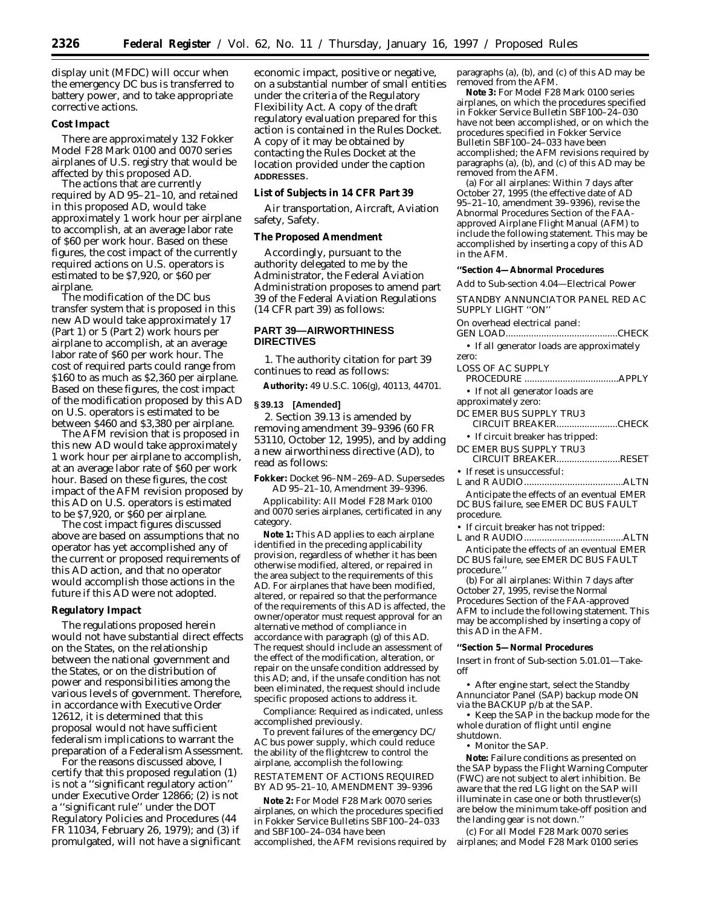display unit (MFDC) will occur when the emergency DC bus is transferred to battery power, and to take appropriate corrective actions.

## **Cost Impact**

There are approximately 132 Fokker Model F28 Mark 0100 and 0070 series airplanes of U.S. registry that would be affected by this proposed AD.

The actions that are currently required by AD 95–21–10, and retained in this proposed AD, would take approximately 1 work hour per airplane to accomplish, at an average labor rate of \$60 per work hour. Based on these figures, the cost impact of the currently required actions on U.S. operators is estimated to be \$7,920, or \$60 per airplane.

The modification of the DC bus transfer system that is proposed in this new AD would take approximately 17 (Part 1) or 5 (Part 2) work hours per airplane to accomplish, at an average labor rate of \$60 per work hour. The cost of required parts could range from \$160 to as much as \$2,360 per airplane. Based on these figures, the cost impact of the modification proposed by this AD on U.S. operators is estimated to be between \$460 and \$3,380 per airplane.

The AFM revision that is proposed in this new AD would take approximately 1 work hour per airplane to accomplish, at an average labor rate of \$60 per work hour. Based on these figures, the cost impact of the AFM revision proposed by this AD on U.S. operators is estimated to be \$7,920, or \$60 per airplane.

The cost impact figures discussed above are based on assumptions that no operator has yet accomplished any of the current or proposed requirements of this AD action, and that no operator would accomplish those actions in the future if this AD were not adopted.

#### **Regulatory Impact**

The regulations proposed herein would not have substantial direct effects on the States, on the relationship between the national government and the States, or on the distribution of power and responsibilities among the various levels of government. Therefore, in accordance with Executive Order 12612, it is determined that this proposal would not have sufficient federalism implications to warrant the preparation of a Federalism Assessment.

For the reasons discussed above, I certify that this proposed regulation (1) is not a ''significant regulatory action'' under Executive Order 12866; (2) is not a ''significant rule'' under the DOT Regulatory Policies and Procedures (44 FR 11034, February 26, 1979); and (3) if promulgated, will not have a significant economic impact, positive or negative, on a substantial number of small entities under the criteria of the Regulatory Flexibility Act. A copy of the draft regulatory evaluation prepared for this action is contained in the Rules Docket. A copy of it may be obtained by contacting the Rules Docket at the location provided under the caption **ADDRESSES**.

### **List of Subjects in 14 CFR Part 39**

Air transportation, Aircraft, Aviation safety, Safety.

### **The Proposed Amendment**

Accordingly, pursuant to the authority delegated to me by the Administrator, the Federal Aviation Administration proposes to amend part 39 of the Federal Aviation Regulations (14 CFR part 39) as follows:

# **PART 39—AIRWORTHINESS DIRECTIVES**

1. The authority citation for part 39 continues to read as follows:

**Authority:** 49 U.S.C. 106(g), 40113, 44701.

### **§ 39.13 [Amended]**

2. Section 39.13 is amended by removing amendment 39–9396 (60 FR 53110, October 12, 1995), and by adding a new airworthiness directive (AD), to read as follows:

**Fokker:** Docket 96–NM–269–AD. Supersedes AD 95–21–10, Amendment 39–9396.

*Applicability:* All Model F28 Mark 0100 and 0070 series airplanes, certificated in any category.

**Note 1:** This AD applies to each airplane identified in the preceding applicability provision, regardless of whether it has been otherwise modified, altered, or repaired in the area subject to the requirements of this AD. For airplanes that have been modified, altered, or repaired so that the performance of the requirements of this AD is affected, the owner/operator must request approval for an alternative method of compliance in accordance with paragraph (g) of this AD. The request should include an assessment of the effect of the modification, alteration, or repair on the unsafe condition addressed by this AD; and, if the unsafe condition has not been eliminated, the request should include specific proposed actions to address it.

*Compliance:* Required as indicated, unless accomplished previously.

To prevent failures of the emergency DC/ AC bus power supply, which could reduce the ability of the flightcrew to control the airplane, accomplish the following: RESTATEMENT OF ACTIONS REQUIRED BY AD 95–21–10, AMENDMENT 39–9396

**Note 2:** For Model F28 Mark 0070 series airplanes, on which the procedures specified in Fokker Service Bulletins SBF100–24–033 and SBF100–24–034 have been accomplished, the AFM revisions required by

paragraphs (a), (b), and (c) of this AD may be removed from the AFM.

**Note 3:** For Model F28 Mark 0100 series airplanes, on which the procedures specified in Fokker Service Bulletin SBF100–24–030 have not been accomplished, or on which the procedures specified in Fokker Service Bulletin SBF100–24–033 have been accomplished; the AFM revisions required by paragraphs (a), (b), and (c) of this AD may be removed from the AFM.

(a) For all airplanes: Within 7 days after October 27, 1995 (the effective date of AD 95–21–10, amendment 39–9396), revise the Abnormal Procedures Section of the FAAapproved Airplane Flight Manual (AFM) to include the following statement. This may be accomplished by inserting a copy of this AD in the AFM.

**''Section 4—Abnormal Procedures**

Add to Sub-section 4.04—Electrical Power

STANDBY ANNUNCIATOR PANEL RED AC SUPPLY LIGHT ''ON''

On overhead electrical panel:

GEN LOAD............................................CHECK • If all generator loads are approximately zero:

| LOSS OF AC SUPPLY                          |
|--------------------------------------------|
|                                            |
| • If not all generator loads are           |
| approximately zero:                        |
| DC EMER BUS SUPPLY TRU3                    |
| CIRCUIT BREAKERCHECK                       |
| • If circuit breaker has tripped:          |
| DC EMER BUS SUPPLY TRU3                    |
| CIRCUIT BREAKERRESET                       |
| • If reset is unsuccessful:                |
|                                            |
| Anticipate the effects of an eventual EMER |
| DC BUS failure, see EMER DC BUS FAULT      |
| procedure.                                 |
| . If atuarite knoolean loop wat tutumaale  |

If circuit breaker has not tripped: L and R AUDIO.......................................ALTN

Anticipate the effects of an eventual EMER DC BUS failure, see EMER DC BUS FAULT procedure.''

(b) For all airplanes: Within 7 days after October 27, 1995, revise the Normal Procedures Section of the FAA-approved AFM to include the following statement. This may be accomplished by inserting a copy of this AD in the AFM.

#### **''Section 5—Normal Procedures**

Insert in front of Sub-section 5.01.01—Takeoff

• After engine start, select the Standby Annunciator Panel (SAP) backup mode ON via the BACKUP p/b at the SAP.

• Keep the SAP in the backup mode for the whole duration of flight until engine shutdown.

• Monitor the SAP.

**Note:** Failure conditions as presented on the SAP bypass the Flight Warning Computer (FWC) are not subject to alert inhibition. Be aware that the red LG light on the SAP will illuminate in case one or both thrustlever(s) are below the minimum take-off position and the landing gear is not down.''

(c) For all Model F28 Mark 0070 series airplanes; and Model F28 Mark 0100 series